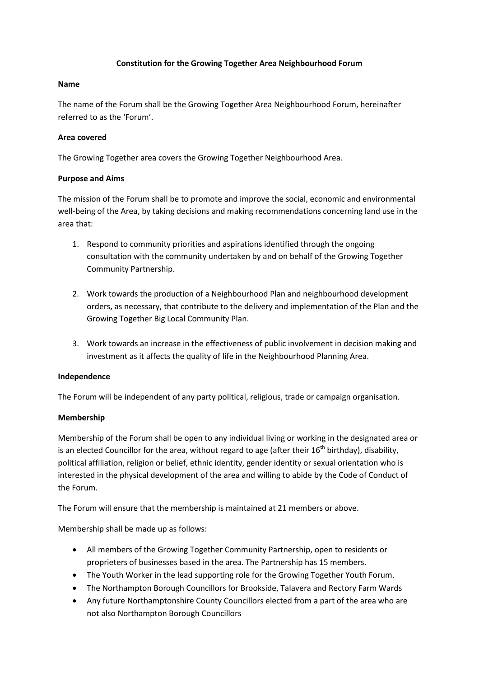## **Constitution for the Growing Together Area Neighbourhood Forum**

## **Name**

The name of the Forum shall be the Growing Together Area Neighbourhood Forum, hereinafter referred to as the 'Forum'.

## **Area covered**

The Growing Together area covers the Growing Together Neighbourhood Area.

## **Purpose and Aims**

The mission of the Forum shall be to promote and improve the social, economic and environmental well-being of the Area, by taking decisions and making recommendations concerning land use in the area that:

- 1. Respond to community priorities and aspirations identified through the ongoing consultation with the community undertaken by and on behalf of the Growing Together Community Partnership.
- 2. Work towards the production of a Neighbourhood Plan and neighbourhood development orders, as necessary, that contribute to the delivery and implementation of the Plan and the Growing Together Big Local Community Plan.
- 3. Work towards an increase in the effectiveness of public involvement in decision making and investment as it affects the quality of life in the Neighbourhood Planning Area.

#### **Independence**

The Forum will be independent of any party political, religious, trade or campaign organisation.

#### **Membership**

Membership of the Forum shall be open to any individual living or working in the designated area or is an elected Councillor for the area, without regard to age (after their  $16^{th}$  birthday), disability, political affiliation, religion or belief, ethnic identity, gender identity or sexual orientation who is interested in the physical development of the area and willing to abide by the Code of Conduct of the Forum.

The Forum will ensure that the membership is maintained at 21 members or above.

Membership shall be made up as follows:

- All members of the Growing Together Community Partnership, open to residents or proprieters of businesses based in the area. The Partnership has 15 members.
- The Youth Worker in the lead supporting role for the Growing Together Youth Forum.
- The Northampton Borough Councillors for Brookside, Talavera and Rectory Farm Wards
- Any future Northamptonshire County Councillors elected from a part of the area who are not also Northampton Borough Councillors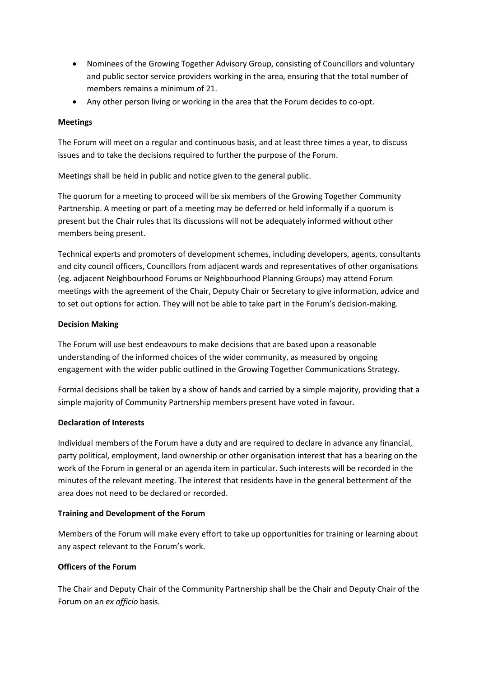- Nominees of the Growing Together Advisory Group, consisting of Councillors and voluntary and public sector service providers working in the area, ensuring that the total number of members remains a minimum of 21.
- Any other person living or working in the area that the Forum decides to co-opt.

## **Meetings**

The Forum will meet on a regular and continuous basis, and at least three times a year, to discuss issues and to take the decisions required to further the purpose of the Forum.

Meetings shall be held in public and notice given to the general public.

The quorum for a meeting to proceed will be six members of the Growing Together Community Partnership. A meeting or part of a meeting may be deferred or held informally if a quorum is present but the Chair rules that its discussions will not be adequately informed without other members being present.

Technical experts and promoters of development schemes, including developers, agents, consultants and city council officers, Councillors from adjacent wards and representatives of other organisations (eg. adjacent Neighbourhood Forums or Neighbourhood Planning Groups) may attend Forum meetings with the agreement of the Chair, Deputy Chair or Secretary to give information, advice and to set out options for action. They will not be able to take part in the Forum's decision-making.

## **Decision Making**

The Forum will use best endeavours to make decisions that are based upon a reasonable understanding of the informed choices of the wider community, as measured by ongoing engagement with the wider public outlined in the Growing Together Communications Strategy.

Formal decisions shall be taken by a show of hands and carried by a simple majority, providing that a simple majority of Community Partnership members present have voted in favour.

# **Declaration of Interests**

Individual members of the Forum have a duty and are required to declare in advance any financial, party political, employment, land ownership or other organisation interest that has a bearing on the work of the Forum in general or an agenda item in particular. Such interests will be recorded in the minutes of the relevant meeting. The interest that residents have in the general betterment of the area does not need to be declared or recorded.

#### **Training and Development of the Forum**

Members of the Forum will make every effort to take up opportunities for training or learning about any aspect relevant to the Forum's work.

# **Officers of the Forum**

The Chair and Deputy Chair of the Community Partnership shall be the Chair and Deputy Chair of the Forum on an *ex officio* basis.